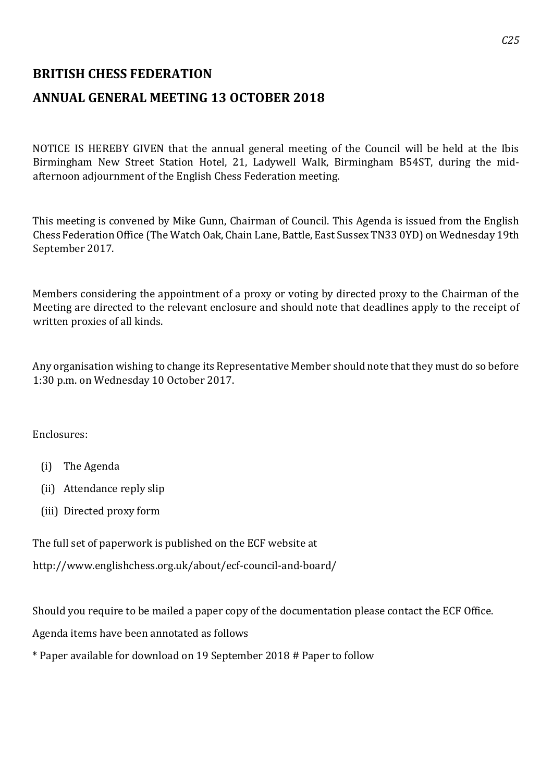## **BRITISH CHESS FEDERATION**

## **ANNUAL GENERAL MEETING 13 OCTOBER 2018**

NOTICE IS HEREBY GIVEN that the annual general meeting of the Council will be held at the Ibis Birmingham New Street Station Hotel, 21, Ladywell Walk, Birmingham B54ST, during the midafternoon adjournment of the English Chess Federation meeting.

This meeting is convened by Mike Gunn, Chairman of Council. This Agenda is issued from the English Chess Federation Office (The Watch Oak, Chain Lane, Battle, East Sussex TN33 0YD) on Wednesday 19th September 2017.

Members considering the appointment of a proxy or voting by directed proxy to the Chairman of the Meeting are directed to the relevant enclosure and should note that deadlines apply to the receipt of written proxies of all kinds.

Any organisation wishing to change its Representative Member should note that they must do so before 1:30 p.m. on Wednesday 10 October 2017.

Enclosures:

- (i) The Agenda
- (ii) Attendance reply slip
- (iii) Directed proxy form

The full set of paperwork is published on the ECF website at

http://www.englishchess.org.uk/about/ecf-council-and-board/

Should you require to be mailed a paper copy of the documentation please contact the ECF Office.

Agenda items have been annotated as follows

\* Paper available for download on 19 September 2018 # Paper to follow